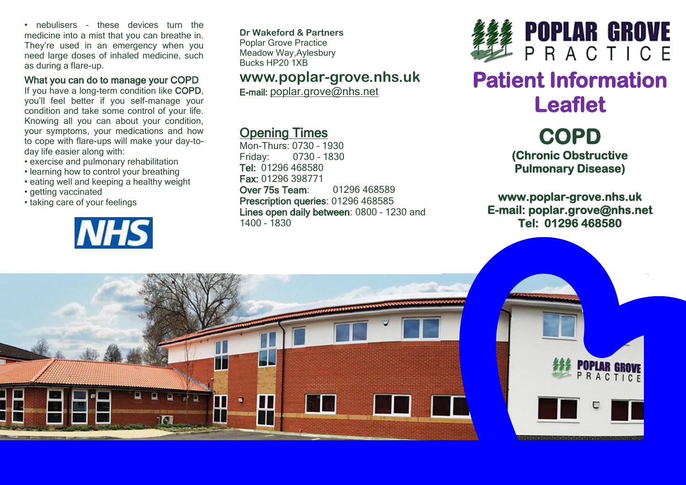• nebulisers – these devices turn the medicine into a mist that you can breathe in. They're used in an emergency when you need large doses of inhaled medicine, such as during a flare-up.

#### What you can do to manage your COPD

If you have a long-term condition like COPD, you'll feel better if you self-manage your condition and take some control of your life. Knowing all you can about your condition, your symptoms, your medications and how to cope with flare-ups will make your day-today life easier along with:

- exercise and pulmonary rehabilitation
- learning how to control your breathing
- eating well and keeping a healthy weight
- getting vaccinated
- taking care of your feelings



**Dr Wakeford & Partners** Poplar Grove Practice Meadow Way,Aylesbury Bucks HP20 1XB

## **www.poplar-grove.nhs.uk**

E-mail: [poplar.grove@nhs.net](mailto:poplar.grove@nhs.net)

# Opening Times

Mon-Thurs: 0730 – 1930 Friday: 0730 – 1830 Tel: 01296 468580 Fax: 01296 398771 Over 75s Team: 01296 468589 Prescription queries: 01296 468585 Lines open daily between: 0800 – 1230 and 1400 – 1830



# **Patient Information Leaflet**

**COPD (Chronic Obstructive Pulmonary Disease)** 

**www.poplar-grove.nhs.uk E-mail: poplar.grove@nhs.net Tel: 01296 468580**